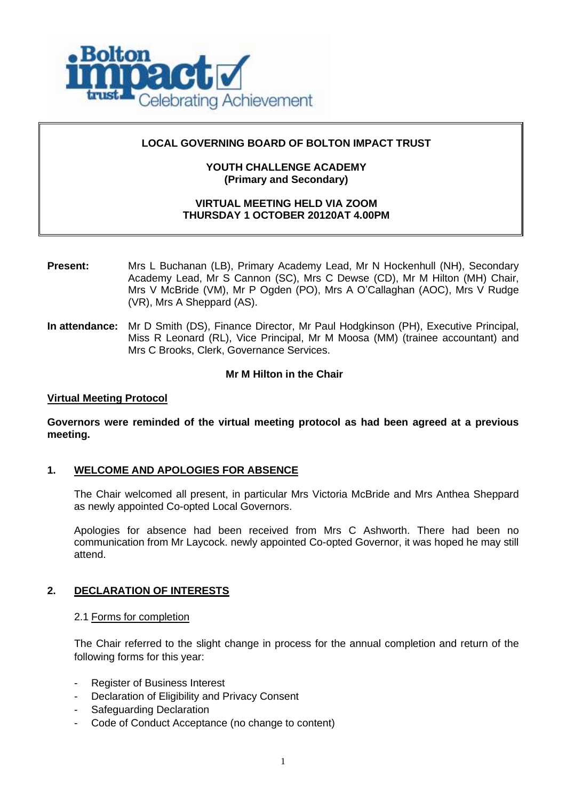

## **LOCAL GOVERNING BOARD OF BOLTON IMPACT TRUST**

## **YOUTH CHALLENGE ACADEMY (Primary and Secondary)**

## **VIRTUAL MEETING HELD VIA ZOOM THURSDAY 1 OCTOBER 20120AT 4.00PM**

- **Present:** Mrs L Buchanan (LB), Primary Academy Lead, Mr N Hockenhull (NH), Secondary Academy Lead, Mr S Cannon (SC), Mrs C Dewse (CD), Mr M Hilton (MH) Chair, Mrs V McBride (VM), Mr P Ogden (PO), Mrs A O'Callaghan (AOC), Mrs V Rudge (VR), Mrs A Sheppard (AS).
- **In attendance:** Mr D Smith (DS), Finance Director, Mr Paul Hodgkinson (PH), Executive Principal, Miss R Leonard (RL), Vice Principal, Mr M Moosa (MM) (trainee accountant) and Mrs C Brooks, Clerk, Governance Services.

### **Mr M Hilton in the Chair**

### **Virtual Meeting Protocol**

**Governors were reminded of the virtual meeting protocol as had been agreed at a previous meeting.**

### **1. WELCOME AND APOLOGIES FOR ABSENCE**

The Chair welcomed all present, in particular Mrs Victoria McBride and Mrs Anthea Sheppard as newly appointed Co-opted Local Governors.

Apologies for absence had been received from Mrs C Ashworth. There had been no communication from Mr Laycock. newly appointed Co-opted Governor, it was hoped he may still attend.

### **2. DECLARATION OF INTERESTS**

### 2.1 Forms for completion

The Chair referred to the slight change in process for the annual completion and return of the following forms for this year:

- Register of Business Interest
- Declaration of Eligibility and Privacy Consent
- Safeguarding Declaration
- Code of Conduct Acceptance (no change to content)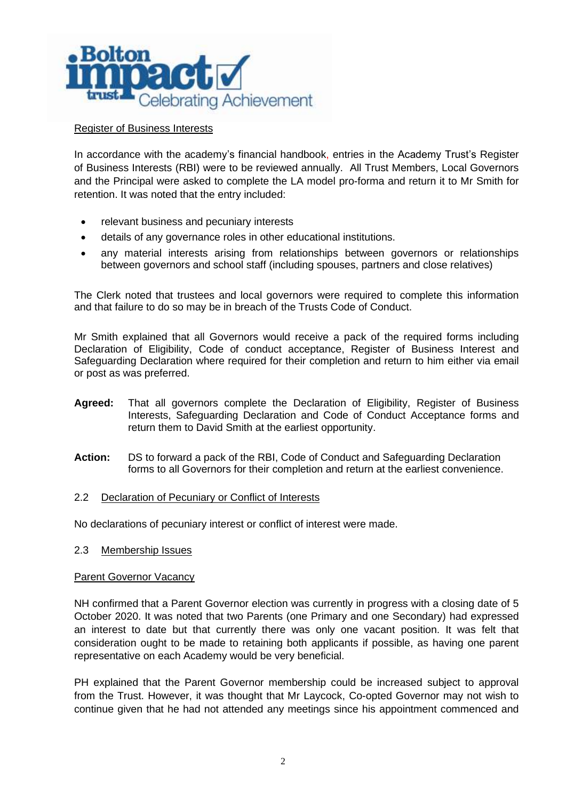

## Register of Business Interests

In accordance with the academy's financial handbook, entries in the Academy Trust's Register of Business Interests (RBI) were to be reviewed annually. All Trust Members, Local Governors and the Principal were asked to complete the LA model pro-forma and return it to Mr Smith for retention. It was noted that the entry included:

- relevant business and pecuniary interests
- details of any governance roles in other educational institutions.
- any material interests arising from relationships between governors or relationships between governors and school staff (including spouses, partners and close relatives)

The Clerk noted that trustees and local governors were required to complete this information and that failure to do so may be in breach of the Trusts Code of Conduct.

Mr Smith explained that all Governors would receive a pack of the required forms including Declaration of Eligibility, Code of conduct acceptance, Register of Business Interest and Safeguarding Declaration where required for their completion and return to him either via email or post as was preferred.

- **Agreed:** That all governors complete the Declaration of Eligibility, Register of Business Interests, Safeguarding Declaration and Code of Conduct Acceptance forms and return them to David Smith at the earliest opportunity.
- **Action:** DS to forward a pack of the RBI, Code of Conduct and Safeguarding Declaration forms to all Governors for their completion and return at the earliest convenience.

## 2.2 Declaration of Pecuniary or Conflict of Interests

No declarations of pecuniary interest or conflict of interest were made.

### 2.3 Membership Issues

### Parent Governor Vacancy

NH confirmed that a Parent Governor election was currently in progress with a closing date of 5 October 2020. It was noted that two Parents (one Primary and one Secondary) had expressed an interest to date but that currently there was only one vacant position. It was felt that consideration ought to be made to retaining both applicants if possible, as having one parent representative on each Academy would be very beneficial.

PH explained that the Parent Governor membership could be increased subject to approval from the Trust. However, it was thought that Mr Laycock, Co-opted Governor may not wish to continue given that he had not attended any meetings since his appointment commenced and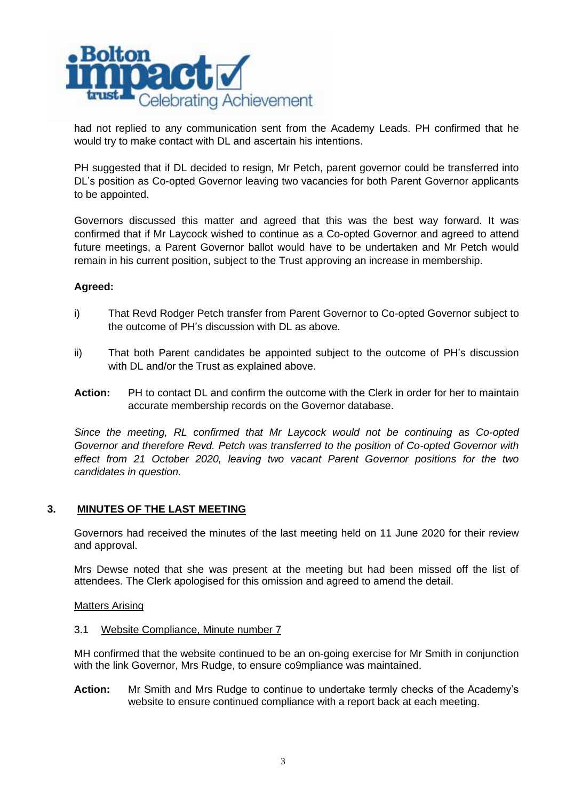

had not replied to any communication sent from the Academy Leads. PH confirmed that he would try to make contact with DL and ascertain his intentions.

PH suggested that if DL decided to resign, Mr Petch, parent governor could be transferred into DL's position as Co-opted Governor leaving two vacancies for both Parent Governor applicants to be appointed.

Governors discussed this matter and agreed that this was the best way forward. It was confirmed that if Mr Laycock wished to continue as a Co-opted Governor and agreed to attend future meetings, a Parent Governor ballot would have to be undertaken and Mr Petch would remain in his current position, subject to the Trust approving an increase in membership.

## **Agreed:**

- i) That Revd Rodger Petch transfer from Parent Governor to Co-opted Governor subject to the outcome of PH's discussion with DL as above.
- ii) That both Parent candidates be appointed subject to the outcome of PH's discussion with DL and/or the Trust as explained above.
- **Action:** PH to contact DL and confirm the outcome with the Clerk in order for her to maintain accurate membership records on the Governor database.

*Since the meeting, RL confirmed that Mr Laycock would not be continuing as Co-opted Governor and therefore Revd. Petch was transferred to the position of Co-opted Governor with effect from 21 October 2020, leaving two vacant Parent Governor positions for the two candidates in question.*

## **3. MINUTES OF THE LAST MEETING**

Governors had received the minutes of the last meeting held on 11 June 2020 for their review and approval.

Mrs Dewse noted that she was present at the meeting but had been missed off the list of attendees. The Clerk apologised for this omission and agreed to amend the detail.

### Matters Arising

### 3.1 Website Compliance, Minute number 7

MH confirmed that the website continued to be an on-going exercise for Mr Smith in conjunction with the link Governor, Mrs Rudge, to ensure co9mpliance was maintained.

**Action:** Mr Smith and Mrs Rudge to continue to undertake termly checks of the Academy's website to ensure continued compliance with a report back at each meeting.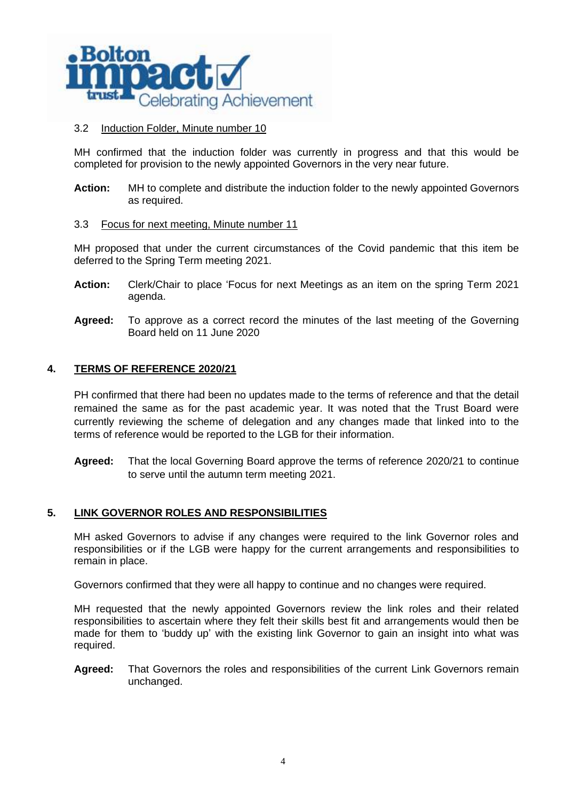

## 3.2 Induction Folder, Minute number 10

MH confirmed that the induction folder was currently in progress and that this would be completed for provision to the newly appointed Governors in the very near future.

**Action:** MH to complete and distribute the induction folder to the newly appointed Governors as required.

### 3.3 Focus for next meeting, Minute number 11

MH proposed that under the current circumstances of the Covid pandemic that this item be deferred to the Spring Term meeting 2021.

- **Action:** Clerk/Chair to place 'Focus for next Meetings as an item on the spring Term 2021 agenda.
- **Agreed:** To approve as a correct record the minutes of the last meeting of the Governing Board held on 11 June 2020

## **4. TERMS OF REFERENCE 2020/21**

PH confirmed that there had been no updates made to the terms of reference and that the detail remained the same as for the past academic year. It was noted that the Trust Board were currently reviewing the scheme of delegation and any changes made that linked into to the terms of reference would be reported to the LGB for their information.

**Agreed:** That the local Governing Board approve the terms of reference 2020/21 to continue to serve until the autumn term meeting 2021.

## **5. LINK GOVERNOR ROLES AND RESPONSIBILITIES**

MH asked Governors to advise if any changes were required to the link Governor roles and responsibilities or if the LGB were happy for the current arrangements and responsibilities to remain in place.

Governors confirmed that they were all happy to continue and no changes were required.

MH requested that the newly appointed Governors review the link roles and their related responsibilities to ascertain where they felt their skills best fit and arrangements would then be made for them to 'buddy up' with the existing link Governor to gain an insight into what was required.

**Agreed:** That Governors the roles and responsibilities of the current Link Governors remain unchanged.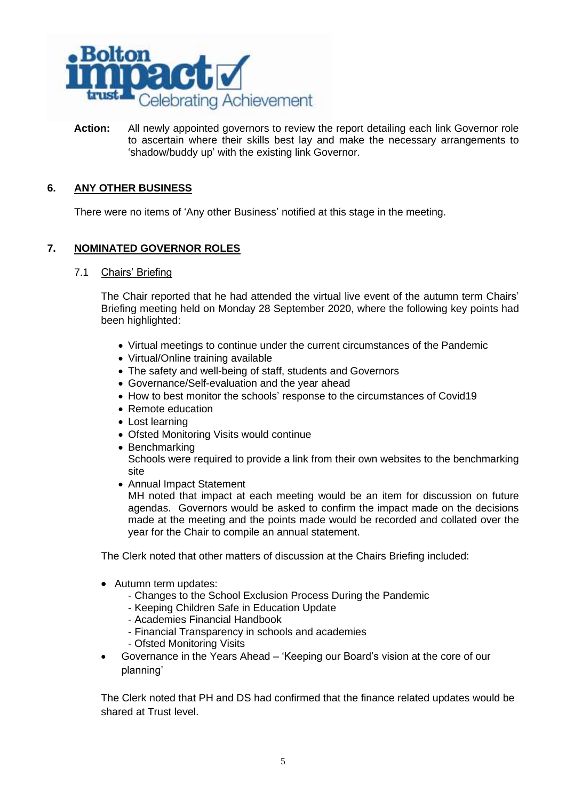

**Action:** All newly appointed governors to review the report detailing each link Governor role to ascertain where their skills best lay and make the necessary arrangements to 'shadow/buddy up' with the existing link Governor.

# **6. ANY OTHER BUSINESS**

There were no items of 'Any other Business' notified at this stage in the meeting.

# **7. NOMINATED GOVERNOR ROLES**

7.1 Chairs' Briefing

The Chair reported that he had attended the virtual live event of the autumn term Chairs' Briefing meeting held on Monday 28 September 2020, where the following key points had been highlighted:

- Virtual meetings to continue under the current circumstances of the Pandemic
- Virtual/Online training available
- The safety and well-being of staff, students and Governors
- Governance/Self-evaluation and the year ahead
- How to best monitor the schools' response to the circumstances of Covid19
- Remote education
- Lost learning
- Ofsted Monitoring Visits would continue
- Benchmarking Schools were required to provide a link from their own websites to the benchmarking site
- Annual Impact Statement

MH noted that impact at each meeting would be an item for discussion on future agendas. Governors would be asked to confirm the impact made on the decisions made at the meeting and the points made would be recorded and collated over the year for the Chair to compile an annual statement.

The Clerk noted that other matters of discussion at the Chairs Briefing included:

- Autumn term updates:
	- Changes to the School Exclusion Process During the Pandemic
	- Keeping Children Safe in Education Update
	- Academies Financial Handbook
	- Financial Transparency in schools and academies
	- Ofsted Monitoring Visits
- Governance in the Years Ahead 'Keeping our Board's vision at the core of our planning'

The Clerk noted that PH and DS had confirmed that the finance related updates would be shared at Trust level.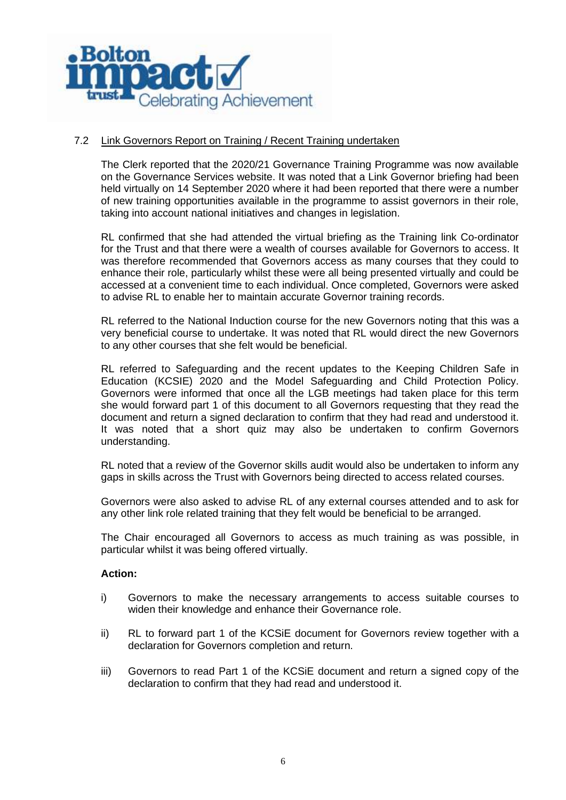

## 7.2 Link Governors Report on Training / Recent Training undertaken

The Clerk reported that the 2020/21 Governance Training Programme was now available on the Governance Services website. It was noted that a Link Governor briefing had been held virtually on 14 September 2020 where it had been reported that there were a number of new training opportunities available in the programme to assist governors in their role, taking into account national initiatives and changes in legislation.

RL confirmed that she had attended the virtual briefing as the Training link Co-ordinator for the Trust and that there were a wealth of courses available for Governors to access. It was therefore recommended that Governors access as many courses that they could to enhance their role, particularly whilst these were all being presented virtually and could be accessed at a convenient time to each individual. Once completed, Governors were asked to advise RL to enable her to maintain accurate Governor training records.

RL referred to the National Induction course for the new Governors noting that this was a very beneficial course to undertake. It was noted that RL would direct the new Governors to any other courses that she felt would be beneficial.

RL referred to Safeguarding and the recent updates to the Keeping Children Safe in Education (KCSIE) 2020 and the Model Safeguarding and Child Protection Policy. Governors were informed that once all the LGB meetings had taken place for this term she would forward part 1 of this document to all Governors requesting that they read the document and return a signed declaration to confirm that they had read and understood it. It was noted that a short quiz may also be undertaken to confirm Governors understanding.

RL noted that a review of the Governor skills audit would also be undertaken to inform any gaps in skills across the Trust with Governors being directed to access related courses.

Governors were also asked to advise RL of any external courses attended and to ask for any other link role related training that they felt would be beneficial to be arranged.

The Chair encouraged all Governors to access as much training as was possible, in particular whilst it was being offered virtually.

### **Action:**

- i) Governors to make the necessary arrangements to access suitable courses to widen their knowledge and enhance their Governance role.
- ii) RL to forward part 1 of the KCSiE document for Governors review together with a declaration for Governors completion and return.
- iii) Governors to read Part 1 of the KCSiE document and return a signed copy of the declaration to confirm that they had read and understood it.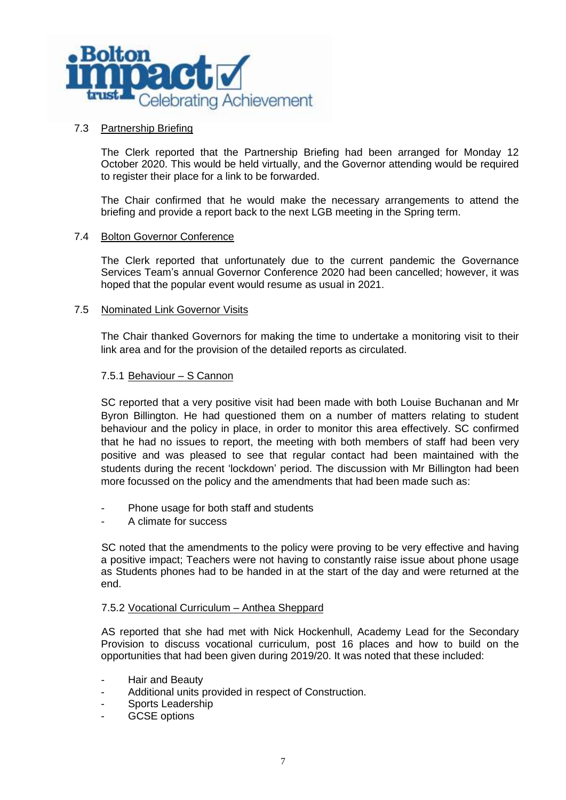

## 7.3 Partnership Briefing

The Clerk reported that the Partnership Briefing had been arranged for Monday 12 October 2020. This would be held virtually, and the Governor attending would be required to register their place for a link to be forwarded.

The Chair confirmed that he would make the necessary arrangements to attend the briefing and provide a report back to the next LGB meeting in the Spring term.

### 7.4 Bolton Governor Conference

The Clerk reported that unfortunately due to the current pandemic the Governance Services Team's annual Governor Conference 2020 had been cancelled; however, it was hoped that the popular event would resume as usual in 2021.

### 7.5 Nominated Link Governor Visits

The Chair thanked Governors for making the time to undertake a monitoring visit to their link area and for the provision of the detailed reports as circulated.

### 7.5.1 Behaviour – S Cannon

SC reported that a very positive visit had been made with both Louise Buchanan and Mr Byron Billington. He had questioned them on a number of matters relating to student behaviour and the policy in place, in order to monitor this area effectively. SC confirmed that he had no issues to report, the meeting with both members of staff had been very positive and was pleased to see that regular contact had been maintained with the students during the recent 'lockdown' period. The discussion with Mr Billington had been more focussed on the policy and the amendments that had been made such as:

- Phone usage for both staff and students
- A climate for success

SC noted that the amendments to the policy were proving to be very effective and having a positive impact; Teachers were not having to constantly raise issue about phone usage as Students phones had to be handed in at the start of the day and were returned at the end.

### 7.5.2 Vocational Curriculum – Anthea Sheppard

AS reported that she had met with Nick Hockenhull, Academy Lead for the Secondary Provision to discuss vocational curriculum, post 16 places and how to build on the opportunities that had been given during 2019/20. It was noted that these included:

- Hair and Beauty
- Additional units provided in respect of Construction.
- Sports Leadership
- GCSE options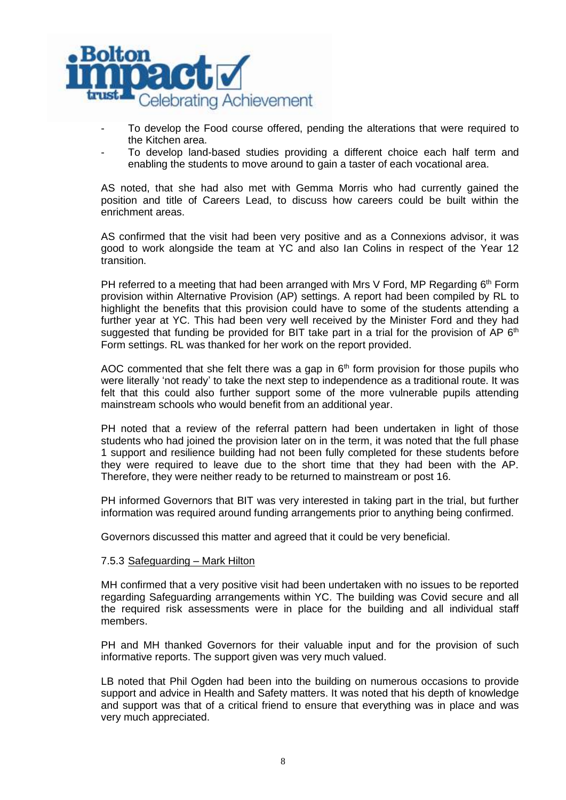

- To develop the Food course offered, pending the alterations that were required to the Kitchen area.
- To develop land-based studies providing a different choice each half term and enabling the students to move around to gain a taster of each vocational area.

AS noted, that she had also met with Gemma Morris who had currently gained the position and title of Careers Lead, to discuss how careers could be built within the enrichment areas.

AS confirmed that the visit had been very positive and as a Connexions advisor, it was good to work alongside the team at YC and also Ian Colins in respect of the Year 12 transition.

PH referred to a meeting that had been arranged with Mrs V Ford, MP Regarding 6<sup>th</sup> Form provision within Alternative Provision (AP) settings. A report had been compiled by RL to highlight the benefits that this provision could have to some of the students attending a further year at YC. This had been very well received by the Minister Ford and they had suggested that funding be provided for BIT take part in a trial for the provision of AP  $6<sup>th</sup>$ Form settings. RL was thanked for her work on the report provided.

AOC commented that she felt there was a gap in  $6<sup>th</sup>$  form provision for those pupils who were literally 'not ready' to take the next step to independence as a traditional route. It was felt that this could also further support some of the more vulnerable pupils attending mainstream schools who would benefit from an additional year.

PH noted that a review of the referral pattern had been undertaken in light of those students who had joined the provision later on in the term, it was noted that the full phase 1 support and resilience building had not been fully completed for these students before they were required to leave due to the short time that they had been with the AP. Therefore, they were neither ready to be returned to mainstream or post 16.

PH informed Governors that BIT was very interested in taking part in the trial, but further information was required around funding arrangements prior to anything being confirmed.

Governors discussed this matter and agreed that it could be very beneficial.

## 7.5.3 Safeguarding – Mark Hilton

MH confirmed that a very positive visit had been undertaken with no issues to be reported regarding Safeguarding arrangements within YC. The building was Covid secure and all the required risk assessments were in place for the building and all individual staff members.

PH and MH thanked Governors for their valuable input and for the provision of such informative reports. The support given was very much valued.

LB noted that Phil Ogden had been into the building on numerous occasions to provide support and advice in Health and Safety matters. It was noted that his depth of knowledge and support was that of a critical friend to ensure that everything was in place and was very much appreciated.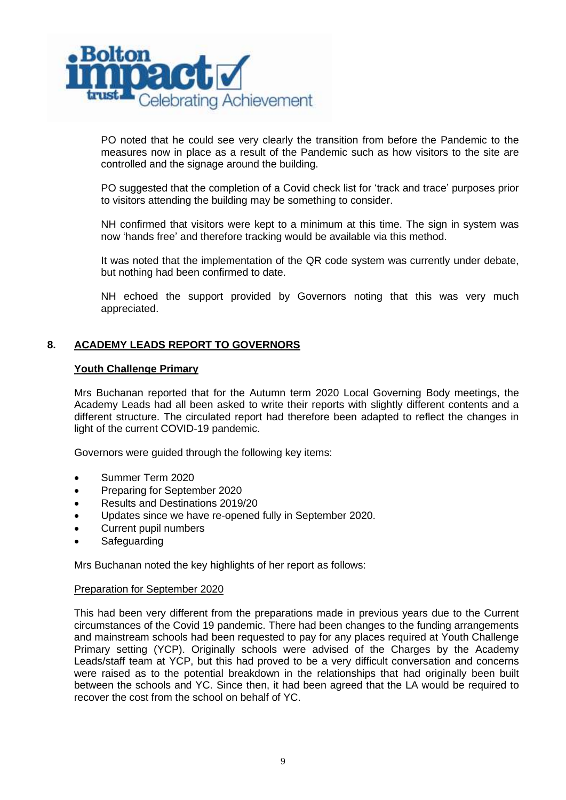

PO noted that he could see very clearly the transition from before the Pandemic to the measures now in place as a result of the Pandemic such as how visitors to the site are controlled and the signage around the building.

PO suggested that the completion of a Covid check list for 'track and trace' purposes prior to visitors attending the building may be something to consider.

NH confirmed that visitors were kept to a minimum at this time. The sign in system was now 'hands free' and therefore tracking would be available via this method.

It was noted that the implementation of the QR code system was currently under debate, but nothing had been confirmed to date.

NH echoed the support provided by Governors noting that this was very much appreciated.

# **8. ACADEMY LEADS REPORT TO GOVERNORS**

### **Youth Challenge Primary**

Mrs Buchanan reported that for the Autumn term 2020 Local Governing Body meetings, the Academy Leads had all been asked to write their reports with slightly different contents and a different structure. The circulated report had therefore been adapted to reflect the changes in light of the current COVID-19 pandemic.

Governors were guided through the following key items:

- Summer Term 2020
- Preparing for September 2020
- Results and Destinations 2019/20
- Updates since we have re-opened fully in September 2020.
- Current pupil numbers
- **Safeguarding**

Mrs Buchanan noted the key highlights of her report as follows:

### Preparation for September 2020

This had been very different from the preparations made in previous years due to the Current circumstances of the Covid 19 pandemic. There had been changes to the funding arrangements and mainstream schools had been requested to pay for any places required at Youth Challenge Primary setting (YCP). Originally schools were advised of the Charges by the Academy Leads/staff team at YCP, but this had proved to be a very difficult conversation and concerns were raised as to the potential breakdown in the relationships that had originally been built between the schools and YC. Since then, it had been agreed that the LA would be required to recover the cost from the school on behalf of YC.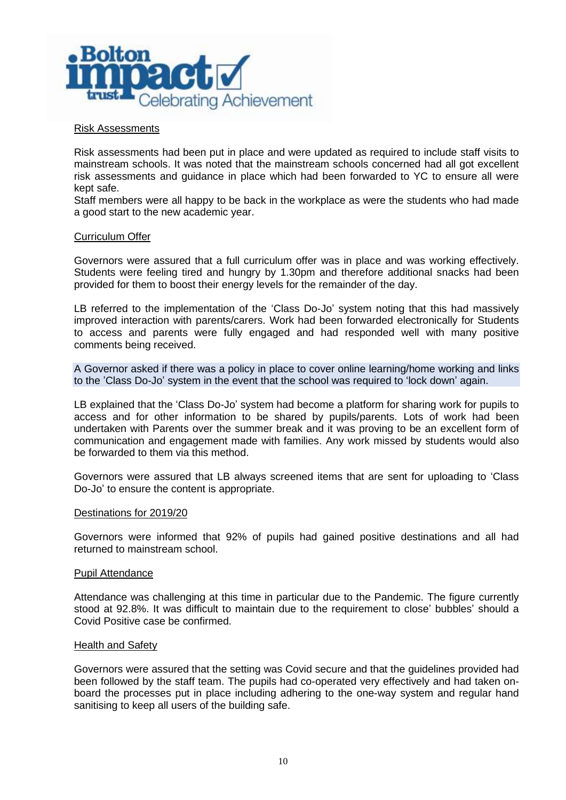

### Risk Assessments

Risk assessments had been put in place and were updated as required to include staff visits to mainstream schools. It was noted that the mainstream schools concerned had all got excellent risk assessments and guidance in place which had been forwarded to YC to ensure all were kept safe.

Staff members were all happy to be back in the workplace as were the students who had made a good start to the new academic year.

### Curriculum Offer

Governors were assured that a full curriculum offer was in place and was working effectively. Students were feeling tired and hungry by 1.30pm and therefore additional snacks had been provided for them to boost their energy levels for the remainder of the day.

LB referred to the implementation of the 'Class Do-Jo' system noting that this had massively improved interaction with parents/carers. Work had been forwarded electronically for Students to access and parents were fully engaged and had responded well with many positive comments being received.

A Governor asked if there was a policy in place to cover online learning/home working and links to the 'Class Do-Jo' system in the event that the school was required to 'lock down' again.

LB explained that the 'Class Do-Jo' system had become a platform for sharing work for pupils to access and for other information to be shared by pupils/parents. Lots of work had been undertaken with Parents over the summer break and it was proving to be an excellent form of communication and engagement made with families. Any work missed by students would also be forwarded to them via this method.

Governors were assured that LB always screened items that are sent for uploading to 'Class Do-Jo' to ensure the content is appropriate.

#### Destinations for 2019/20

Governors were informed that 92% of pupils had gained positive destinations and all had returned to mainstream school.

#### Pupil Attendance

Attendance was challenging at this time in particular due to the Pandemic. The figure currently stood at 92.8%. It was difficult to maintain due to the requirement to close' bubbles' should a Covid Positive case be confirmed.

#### Health and Safety

Governors were assured that the setting was Covid secure and that the guidelines provided had been followed by the staff team. The pupils had co-operated very effectively and had taken onboard the processes put in place including adhering to the one-way system and regular hand sanitising to keep all users of the building safe.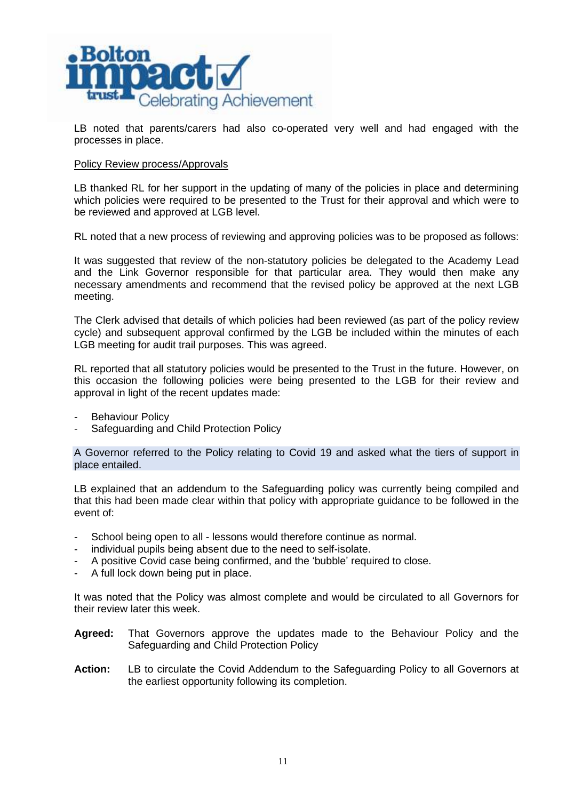

LB noted that parents/carers had also co-operated very well and had engaged with the processes in place.

### Policy Review process/Approvals

LB thanked RL for her support in the updating of many of the policies in place and determining which policies were required to be presented to the Trust for their approval and which were to be reviewed and approved at LGB level.

RL noted that a new process of reviewing and approving policies was to be proposed as follows:

It was suggested that review of the non-statutory policies be delegated to the Academy Lead and the Link Governor responsible for that particular area. They would then make any necessary amendments and recommend that the revised policy be approved at the next LGB meeting.

The Clerk advised that details of which policies had been reviewed (as part of the policy review cycle) and subsequent approval confirmed by the LGB be included within the minutes of each LGB meeting for audit trail purposes. This was agreed.

RL reported that all statutory policies would be presented to the Trust in the future. However, on this occasion the following policies were being presented to the LGB for their review and approval in light of the recent updates made:

- Behaviour Policy
- Safeguarding and Child Protection Policy

A Governor referred to the Policy relating to Covid 19 and asked what the tiers of support in place entailed.

LB explained that an addendum to the Safeguarding policy was currently being compiled and that this had been made clear within that policy with appropriate guidance to be followed in the event of:

- School being open to all lessons would therefore continue as normal.
- individual pupils being absent due to the need to self-isolate.
- A positive Covid case being confirmed, and the 'bubble' required to close.
- A full lock down being put in place.

It was noted that the Policy was almost complete and would be circulated to all Governors for their review later this week.

- **Agreed:** That Governors approve the updates made to the Behaviour Policy and the Safeguarding and Child Protection Policy
- **Action:** LB to circulate the Covid Addendum to the Safeguarding Policy to all Governors at the earliest opportunity following its completion.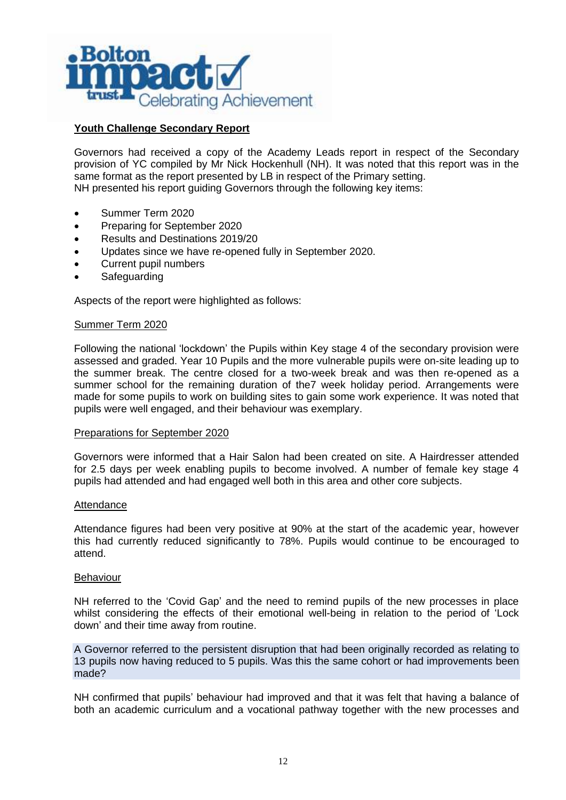

# **Youth Challenge Secondary Report**

Governors had received a copy of the Academy Leads report in respect of the Secondary provision of YC compiled by Mr Nick Hockenhull (NH). It was noted that this report was in the same format as the report presented by LB in respect of the Primary setting. NH presented his report guiding Governors through the following key items:

- Summer Term 2020
- Preparing for September 2020
- Results and Destinations 2019/20
- Updates since we have re-opened fully in September 2020.
- Current pupil numbers
- **Safeguarding**

Aspects of the report were highlighted as follows:

### Summer Term 2020

Following the national 'lockdown' the Pupils within Key stage 4 of the secondary provision were assessed and graded. Year 10 Pupils and the more vulnerable pupils were on-site leading up to the summer break. The centre closed for a two-week break and was then re-opened as a summer school for the remaining duration of the7 week holiday period. Arrangements were made for some pupils to work on building sites to gain some work experience. It was noted that pupils were well engaged, and their behaviour was exemplary.

#### Preparations for September 2020

Governors were informed that a Hair Salon had been created on site. A Hairdresser attended for 2.5 days per week enabling pupils to become involved. A number of female key stage 4 pupils had attended and had engaged well both in this area and other core subjects.

#### **Attendance**

Attendance figures had been very positive at 90% at the start of the academic year, however this had currently reduced significantly to 78%. Pupils would continue to be encouraged to attend.

#### Behaviour

NH referred to the 'Covid Gap' and the need to remind pupils of the new processes in place whilst considering the effects of their emotional well-being in relation to the period of 'Lock down' and their time away from routine.

A Governor referred to the persistent disruption that had been originally recorded as relating to 13 pupils now having reduced to 5 pupils. Was this the same cohort or had improvements been made?

NH confirmed that pupils' behaviour had improved and that it was felt that having a balance of both an academic curriculum and a vocational pathway together with the new processes and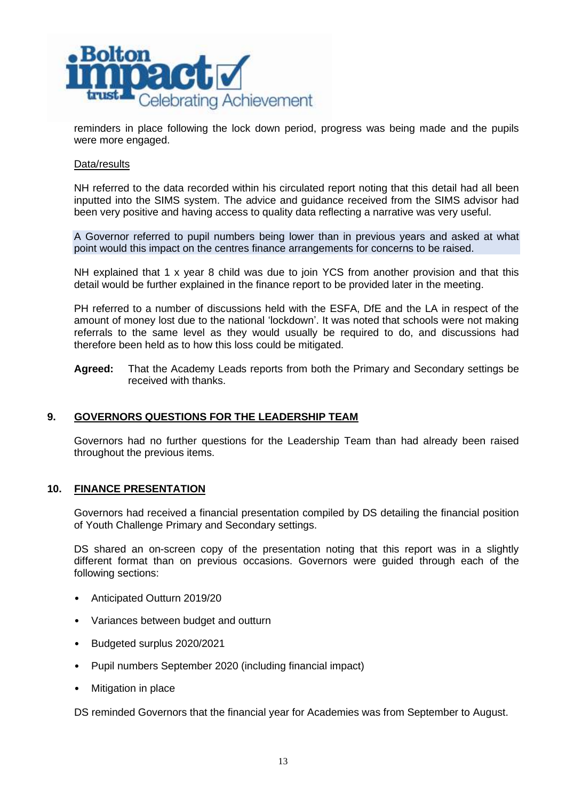

reminders in place following the lock down period, progress was being made and the pupils were more engaged.

### Data/results

NH referred to the data recorded within his circulated report noting that this detail had all been inputted into the SIMS system. The advice and guidance received from the SIMS advisor had been very positive and having access to quality data reflecting a narrative was very useful.

A Governor referred to pupil numbers being lower than in previous years and asked at what point would this impact on the centres finance arrangements for concerns to be raised.

NH explained that 1 x year 8 child was due to join YCS from another provision and that this detail would be further explained in the finance report to be provided later in the meeting.

PH referred to a number of discussions held with the ESFA, DfE and the LA in respect of the amount of money lost due to the national 'lockdown'. It was noted that schools were not making referrals to the same level as they would usually be required to do, and discussions had therefore been held as to how this loss could be mitigated.

**Agreed:** That the Academy Leads reports from both the Primary and Secondary settings be received with thanks.

## **9. GOVERNORS QUESTIONS FOR THE LEADERSHIP TEAM**

Governors had no further questions for the Leadership Team than had already been raised throughout the previous items.

## **10. FINANCE PRESENTATION**

Governors had received a financial presentation compiled by DS detailing the financial position of Youth Challenge Primary and Secondary settings.

DS shared an on-screen copy of the presentation noting that this report was in a slightly different format than on previous occasions. Governors were guided through each of the following sections:

- Anticipated Outturn 2019/20
- Variances between budget and outturn
- Budgeted surplus 2020/2021
- Pupil numbers September 2020 (including financial impact)
- Mitigation in place

DS reminded Governors that the financial year for Academies was from September to August.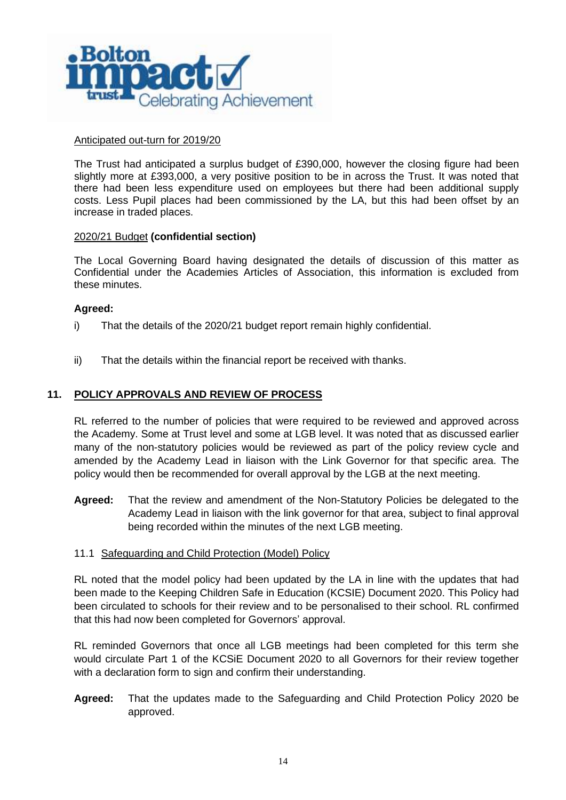

### Anticipated out-turn for 2019/20

The Trust had anticipated a surplus budget of £390,000, however the closing figure had been slightly more at £393,000, a very positive position to be in across the Trust. It was noted that there had been less expenditure used on employees but there had been additional supply costs. Less Pupil places had been commissioned by the LA, but this had been offset by an increase in traded places.

### 2020/21 Budget **(confidential section)**

The Local Governing Board having designated the details of discussion of this matter as Confidential under the Academies Articles of Association, this information is excluded from these minutes.

### **Agreed:**

- i) That the details of the 2020/21 budget report remain highly confidential.
- ii) That the details within the financial report be received with thanks.

### **11. POLICY APPROVALS AND REVIEW OF PROCESS**

RL referred to the number of policies that were required to be reviewed and approved across the Academy. Some at Trust level and some at LGB level. It was noted that as discussed earlier many of the non-statutory policies would be reviewed as part of the policy review cycle and amended by the Academy Lead in liaison with the Link Governor for that specific area. The policy would then be recommended for overall approval by the LGB at the next meeting.

**Agreed:** That the review and amendment of the Non-Statutory Policies be delegated to the Academy Lead in liaison with the link governor for that area, subject to final approval being recorded within the minutes of the next LGB meeting.

### 11.1 Safeguarding and Child Protection (Model) Policy

RL noted that the model policy had been updated by the LA in line with the updates that had been made to the Keeping Children Safe in Education (KCSIE) Document 2020. This Policy had been circulated to schools for their review and to be personalised to their school. RL confirmed that this had now been completed for Governors' approval.

RL reminded Governors that once all LGB meetings had been completed for this term she would circulate Part 1 of the KCSiE Document 2020 to all Governors for their review together with a declaration form to sign and confirm their understanding.

**Agreed:** That the updates made to the Safeguarding and Child Protection Policy 2020 be approved.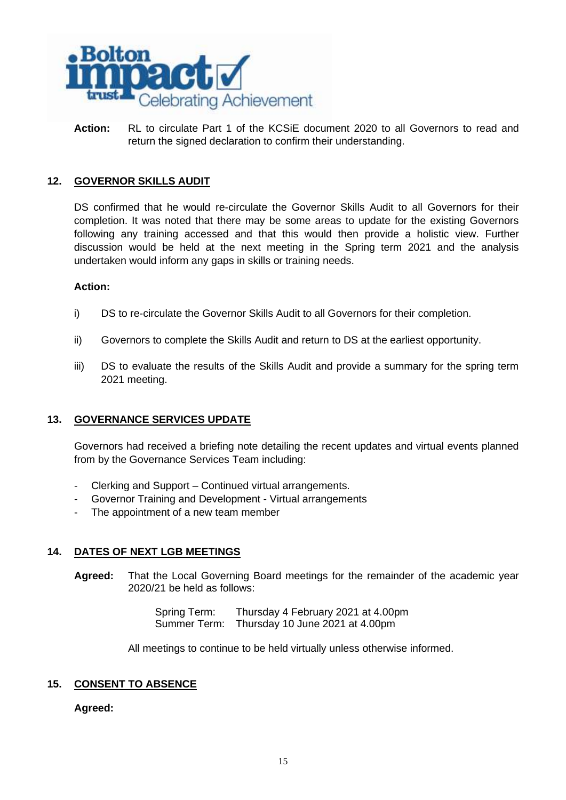

**Action:** RL to circulate Part 1 of the KCSiE document 2020 to all Governors to read and return the signed declaration to confirm their understanding.

## **12. GOVERNOR SKILLS AUDIT**

DS confirmed that he would re-circulate the Governor Skills Audit to all Governors for their completion. It was noted that there may be some areas to update for the existing Governors following any training accessed and that this would then provide a holistic view. Further discussion would be held at the next meeting in the Spring term 2021 and the analysis undertaken would inform any gaps in skills or training needs.

### **Action:**

- i) DS to re-circulate the Governor Skills Audit to all Governors for their completion.
- ii) Governors to complete the Skills Audit and return to DS at the earliest opportunity.
- iii) DS to evaluate the results of the Skills Audit and provide a summary for the spring term 2021 meeting.

# **13. GOVERNANCE SERVICES UPDATE**

Governors had received a briefing note detailing the recent updates and virtual events planned from by the Governance Services Team including:

- Clerking and Support Continued virtual arrangements.
- Governor Training and Development Virtual arrangements
- The appointment of a new team member

## **14. DATES OF NEXT LGB MEETINGS**

**Agreed:** That the Local Governing Board meetings for the remainder of the academic year 2020/21 be held as follows:

> Spring Term: Thursday 4 February 2021 at 4.00pm Summer Term: Thursday 10 June 2021 at 4.00pm

All meetings to continue to be held virtually unless otherwise informed.

## **15. CONSENT TO ABSENCE**

**Agreed:**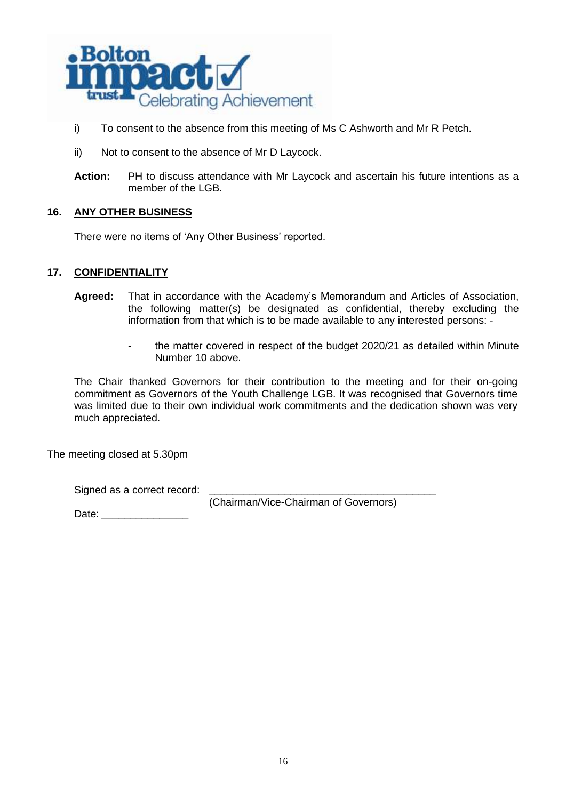

- i) To consent to the absence from this meeting of Ms C Ashworth and Mr R Petch.
- ii) Not to consent to the absence of Mr D Laycock.
- **Action:** PH to discuss attendance with Mr Laycock and ascertain his future intentions as a member of the LGB.

## **16. ANY OTHER BUSINESS**

There were no items of 'Any Other Business' reported.

### **17. CONFIDENTIALITY**

- **Agreed:** That in accordance with the Academy's Memorandum and Articles of Association, the following matter(s) be designated as confidential, thereby excluding the information from that which is to be made available to any interested persons: -
	- the matter covered in respect of the budget 2020/21 as detailed within Minute Number 10 above.

The Chair thanked Governors for their contribution to the meeting and for their on-going commitment as Governors of the Youth Challenge LGB. It was recognised that Governors time was limited due to their own individual work commitments and the dedication shown was very much appreciated.

The meeting closed at 5.30pm

Signed as a correct record:

(Chairman/Vice-Chairman of Governors)

Date: